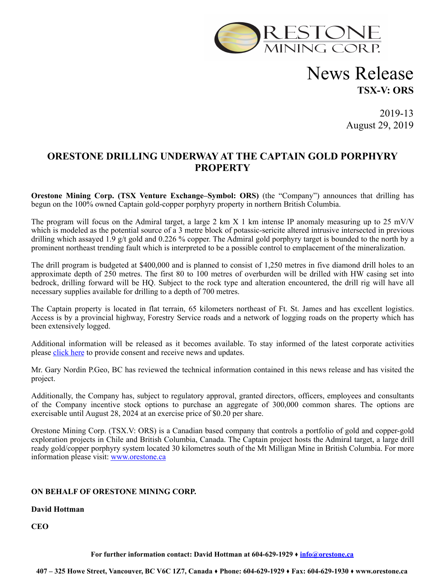

## News Release **TSX-V: ORS**

2019-13 August 29, 2019

## **ORESTONE DRILLING UNDERWAY AT THE CAPTAIN GOLD PORPHYRY PROPERTY**

**Orestone Mining Corp. (TSX Venture Exchange–Symbol: ORS)** (the "Company") announces that drilling has begun on the 100% owned Captain gold-copper porphyry property in northern British Columbia.

The program will focus on the Admiral target, a large 2 km X 1 km intense IP anomaly measuring up to 25 mV/V which is modeled as the potential source of a 3 metre block of potassic-sericite altered intrusive intersected in previous drilling which assayed 1.9 g/t gold and 0.226 % copper. The Admiral gold porphyry target is bounded to the north by a prominent northeast trending fault which is interpreted to be a possible control to emplacement of the mineralization.

The drill program is budgeted at \$400,000 and is planned to consist of 1,250 metres in five diamond drill holes to an approximate depth of 250 metres. The first 80 to 100 metres of overburden will be drilled with HW casing set into bedrock, drilling forward will be HQ. Subject to the rock type and alteration encountered, the drill rig will have all necessary supplies available for drilling to a depth of 700 metres.

The Captain property is located in flat terrain, 65 kilometers northeast of Ft. St. James and has excellent logistics. Access is by a provincial highway, Forestry Service roads and a network of logging roads on the property which has been extensively logged.

Additional information will be released as it becomes available. To stay informed of the latest corporate activities please [click here](http://orestone.com/contact/) to provide consent and receive news and updates.

Mr. Gary Nordin P.Geo, BC has reviewed the technical information contained in this news release and has visited the project.

Additionally, the Company has, subject to regulatory approval, granted directors, officers, employees and consultants of the Company incentive stock options to purchase an aggregate of 300,000 common shares. The options are exercisable until August 28, 2024 at an exercise price of \$0.20 per share.

Orestone Mining Corp. (TSX.V: ORS) is a Canadian based company that controls a portfolio of gold and copper-gold exploration projects in Chile and British Columbia, Canada. The Captain project hosts the Admiral target, a large drill ready gold/copper porphyry system located 30 kilometres south of the Mt Milligan Mine in British Columbia. For more information please visit: [www.orestone.ca](http://www.orestone.ca)

## **ON BEHALF OF ORESTONE MINING CORP.**

**David Hottman** 

**CEO** 

**For further information contact: David Hottman at 604-629-1929** ⧫ **[info@orestone.ca](mailto:info@orestone.ca)**

**407 – 325 Howe Street, Vancouver, BC V6C 1Z7, Canada** ⧫ **Phone: 604-629-1929** ⧫ **Fax: 604-629-1930** ⧫ **www.orestone.ca**